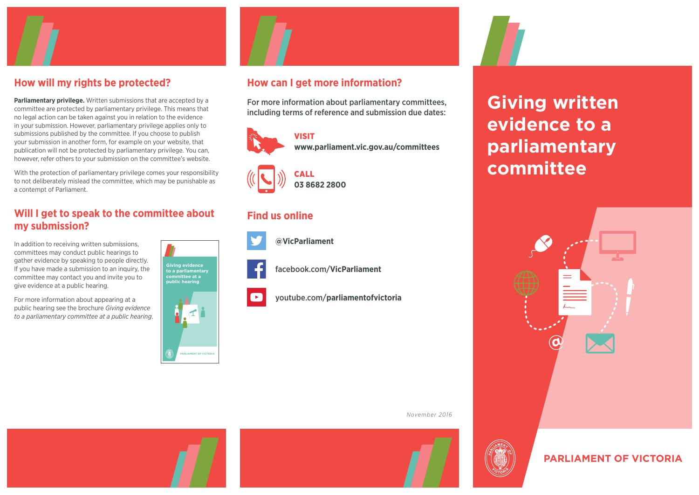

## **How will my rights be protected?**

**Parliamentary privilege.** Written submissions that are accepted by a committee are protected by parliamentary privilege. This means that no legal action can be taken against you in relation to the evidence in your submission. However, parliamentary privilege applies only to submissions published by the committee. If you choose to publish your submission in another form, for example on your website, that publication will not be protected by parliamentary privilege. You can, however, refer others to your submission on the committee's website.

With the protection of parliamentary privilege comes your responsibility to not deliberately mislead the committee, which may be punishable as a contempt of Parliament.

## **Will I get to speak to the committee about my submission?**

In addition to receiving written submissions, committees may conduct public hearings to gather evidence by speaking to people directly. If you have made a submission to an inquiry, the committee may contact you and invite you to give evidence at a public hearing.

For more information about appearing at a public hearing see the brochure Giving evidence to a parliamentary committee at a public hearing.





## **How can I get more information?**

For more information about parliamentary committees, including terms of reference and submission due dates:





## **Find us online**



**[@VicParliament](https://twitter.com/VicParliament)**

[facebook.com/](https://www.facebook.com/VicParliament/)**VicParliament**

youtube.com/**[parliamentofvictoria](https://www.youtube.com/user/parliamentofvictoria)**

*November 2016*



# **Giving written evidence to a parliamentary committee**